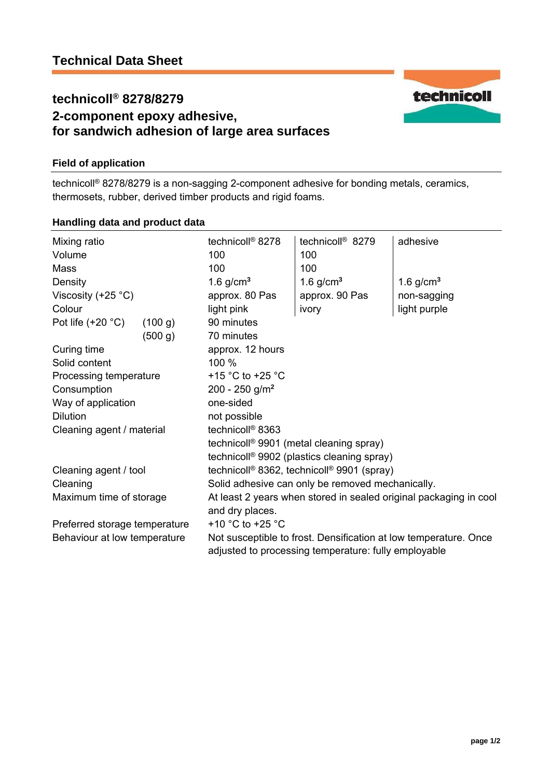# **technicoll® 8278/8279 2-component epoxy adhesive, for sandwich adhesion of large area surfaces**

# **Field of application**

technicoll® 8278/8279 is a non-sagging 2-component adhesive for bonding metals, ceramics, thermosets, rubber, derived timber products and rigid foams.

## **Handling data and product data**

| Mixing ratio<br>Volume<br>Mass |         | technicoll <sup>®</sup> 8278<br>100<br>100                                                                               | technicoll <sup>®</sup> 8279<br>100<br>100 | adhesive     |  |
|--------------------------------|---------|--------------------------------------------------------------------------------------------------------------------------|--------------------------------------------|--------------|--|
| Density                        |         | 1.6 $g/cm3$                                                                                                              | 1.6 $g/cm3$                                | 1.6 $g/cm3$  |  |
| Viscosity (+25 $^{\circ}$ C)   |         | approx. 80 Pas                                                                                                           | approx. 90 Pas                             | non-sagging  |  |
| Colour                         |         | light pink                                                                                                               | ivory                                      | light purple |  |
| Pot life $(+20 °C)$            | (100 g) | 90 minutes                                                                                                               |                                            |              |  |
|                                | (500 g) | 70 minutes                                                                                                               |                                            |              |  |
| Curing time                    |         | approx. 12 hours                                                                                                         |                                            |              |  |
| Solid content                  |         | 100 %                                                                                                                    |                                            |              |  |
| Processing temperature         |         | +15 $\degree$ C to +25 $\degree$ C                                                                                       |                                            |              |  |
| Consumption                    |         | $200 - 250$ g/m <sup>2</sup>                                                                                             |                                            |              |  |
| Way of application             |         | one-sided                                                                                                                |                                            |              |  |
| <b>Dilution</b>                |         | not possible                                                                                                             |                                            |              |  |
| Cleaning agent / material      |         | technicoll <sup>®</sup> 8363                                                                                             |                                            |              |  |
|                                |         | technicoll <sup>®</sup> 9901 (metal cleaning spray)                                                                      |                                            |              |  |
|                                |         | technicoll <sup>®</sup> 9902 (plastics cleaning spray)                                                                   |                                            |              |  |
| Cleaning agent / tool          |         | technicoll <sup>®</sup> 8362, technicoll <sup>®</sup> 9901 (spray)                                                       |                                            |              |  |
| Cleaning                       |         | Solid adhesive can only be removed mechanically.                                                                         |                                            |              |  |
| Maximum time of storage        |         | At least 2 years when stored in sealed original packaging in cool                                                        |                                            |              |  |
|                                |         | and dry places.                                                                                                          |                                            |              |  |
| Preferred storage temperature  |         | +10 °C to +25 °C                                                                                                         |                                            |              |  |
| Behaviour at low temperature   |         | Not susceptible to frost. Densification at low temperature. Once<br>adjusted to processing temperature: fully employable |                                            |              |  |